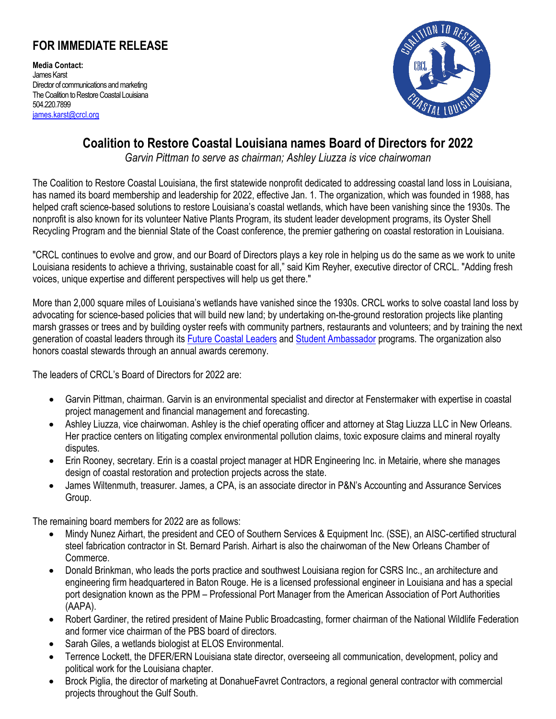## **FOR IMMEDIATE RELEASE**

**Media Contact:** James Karst Director of communications and marketing The Coalition to Restore Coastal Louisiana 504.220.7899 [james.karst@crcl.org](mailto:james.karst@crcl.org)



## **Coalition to Restore Coastal Louisiana names Board of Directors for 2022**

*Garvin Pittman to serve as chairman; Ashley Liuzza is vice chairwoman* 

The Coalition to Restore Coastal Louisiana, the first statewide nonprofit dedicated to addressing coastal land loss in Louisiana, has named its board membership and leadership for 2022, effective Jan. 1. The organization, which was founded in 1988, has helped craft science-based solutions to restore Louisiana's coastal wetlands, which have been vanishing since the 1930s. The nonprofit is also known for its volunteer Native Plants Program, its student leader development programs, its Oyster Shell Recycling Program and the biennial State of the Coast conference, the premier gathering on coastal restoration in Louisiana.

"CRCL continues to evolve and grow, and our Board of Directors plays a key role in helping us do the same as we work to unite Louisiana residents to achieve a thriving, sustainable coast for all," said Kim Reyher, executive director of CRCL. "Adding fresh voices, unique expertise and different perspectives will help us get there."

More than 2,000 square miles of Louisiana's wetlands have vanished since the 1930s. CRCL works to solve coastal land loss by advocating for science-based policies that will build new land; by undertaking on-the-ground restoration projects like planting marsh grasses or trees and by building oyster reefs with community partners, restaurants and volunteers; and by training the next generation of coastal leaders through its **Future Coastal Leaders** and [Student Ambassador](https://www.crcl.org/studentambassador) programs. The organization also honors coastal stewards through an annual awards ceremony.

The leaders of CRCL's Board of Directors for 2022 are:

- Garvin Pittman, chairman. Garvin is an environmental specialist and director at Fenstermaker with expertise in coastal project management and financial management and forecasting.
- Ashley Liuzza, vice chairwoman. Ashley is the chief operating officer and attorney at Stag Liuzza LLC in New Orleans. Her practice centers on litigating complex environmental pollution claims, toxic exposure claims and mineral royalty disputes.
- Erin Rooney, secretary. Erin is a coastal project manager at HDR Engineering Inc. in Metairie, where she manages design of coastal restoration and protection projects across the state.
- James Wiltenmuth, treasurer. James, a CPA, is an associate director in P&N's Accounting and Assurance Services Group.

The remaining board members for 2022 are as follows:

- Mindy Nunez Airhart, the president and CEO of Southern Services & Equipment Inc. (SSE), an AISC-certified structural steel fabrication contractor in St. Bernard Parish. Airhart is also the chairwoman of the New Orleans Chamber of Commerce.
- Donald Brinkman, who leads the ports practice and southwest Louisiana region for CSRS Inc., an architecture and engineering firm headquartered in Baton Rouge. He is a licensed professional engineer in Louisiana and has a special port designation known as the PPM – Professional Port Manager from the American Association of Port Authorities (AAPA).
- Robert Gardiner, the retired president of Maine Public Broadcasting, former chairman of the National Wildlife Federation and former vice chairman of the PBS board of directors.
- Sarah Giles, a wetlands biologist at ELOS Environmental.
- Terrence Lockett, the DFER/ERN Louisiana state director, overseeing all communication, development, policy and political work for the Louisiana chapter.
- Brock Piglia, the director of marketing at DonahueFavret Contractors, a regional general contractor with commercial projects throughout the Gulf South.